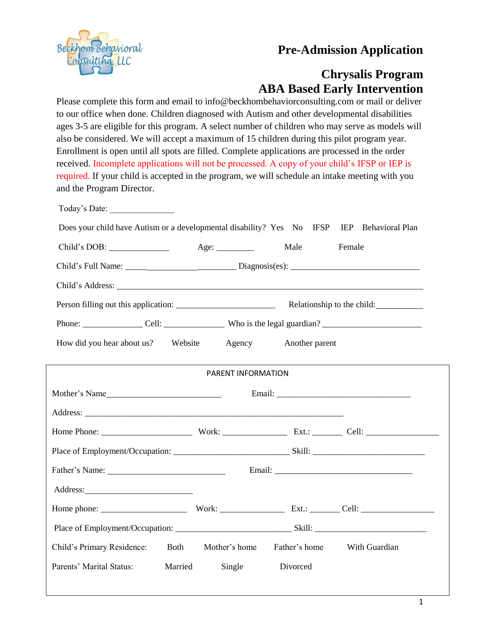## **Pre-Admission Application**



# **Chrysalis Program ABA Based Early Intervention**

Please complete this form and email to info@beckhombehaviorconsulting.com or mail or deliver to our office when done. Children diagnosed with Autism and other developmental disabilities ages 3-5 are eligible for this program. A select number of children who may serve as models will also be considered. We will accept a maximum of 15 children during this pilot program year. Enrollment is open until all spots are filled. Complete applications are processed in the order received. Incomplete applications will not be processed. A copy of your child's IFSP or IEP is required. If your child is accepted in the program, we will schedule an intake meeting with you and the Program Director.

| Today's Date:                                                                              |         |                    |          |                                                |  |
|--------------------------------------------------------------------------------------------|---------|--------------------|----------|------------------------------------------------|--|
| Does your child have Autism or a developmental disability? Yes No IFSP IEP Behavioral Plan |         |                    |          |                                                |  |
|                                                                                            | Age:    |                    | Male     | Female                                         |  |
|                                                                                            |         |                    |          |                                                |  |
|                                                                                            |         |                    |          |                                                |  |
|                                                                                            |         |                    |          |                                                |  |
|                                                                                            |         |                    |          |                                                |  |
| How did you hear about us? Website<br>Agency<br>Another parent                             |         |                    |          |                                                |  |
|                                                                                            |         |                    |          |                                                |  |
|                                                                                            |         | PARENT INFORMATION |          |                                                |  |
| Mother's Name                                                                              |         |                    |          |                                                |  |
|                                                                                            |         |                    |          |                                                |  |
|                                                                                            |         |                    |          |                                                |  |
|                                                                                            |         |                    |          |                                                |  |
|                                                                                            |         |                    |          |                                                |  |
|                                                                                            |         |                    |          |                                                |  |
|                                                                                            |         |                    |          |                                                |  |
|                                                                                            |         |                    |          |                                                |  |
| Child's Primary Residence:                                                                 |         |                    |          | Both Mother's home Father's home With Guardian |  |
| Parents' Marital Status:                                                                   | Married | Single             | Divorced |                                                |  |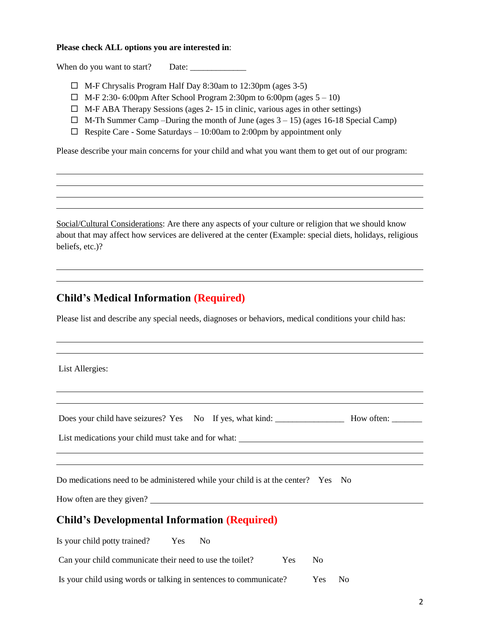#### **Please check ALL options you are interested in**:

When do you want to start? Date: \_\_\_\_\_\_\_\_\_\_\_\_\_

- $\Box$  M-F Chrysalis Program Half Day 8:30am to 12:30pm (ages 3-5)
- $\Box$  M-F 2:30- 6:00pm After School Program 2:30pm to 6:00pm (ages  $5-10$ )
- $\Box$  M-F ABA Therapy Sessions (ages 2-15 in clinic, various ages in other settings)
- $\Box$  M-Th Summer Camp –During the month of June (ages 3 15) (ages 16-18 Special Camp)
- $\Box$  Respite Care Some Saturdays 10:00am to 2:00pm by appointment only

Please describe your main concerns for your child and what you want them to get out of our program:

Social/Cultural Considerations: Are there any aspects of your culture or religion that we should know about that may affect how services are delivered at the center (Example: special diets, holidays, religious beliefs, etc.)?

### **Child's Medical Information (Required)**

Please list and describe any special needs, diagnoses or behaviors, medical conditions your child has:

List Allergies:

| Does your child have seizures? Yes No If yes, what kind: ________________________ How often: _______ |                        |
|------------------------------------------------------------------------------------------------------|------------------------|
| List medications your child must take and for what: _____________________________                    |                        |
|                                                                                                      |                        |
| Do medications need to be administered while your child is at the center? Yes No                     |                        |
| How often are they given?                                                                            |                        |
| <b>Child's Developmental Information (Required)</b>                                                  |                        |
| Is your child potty trained? Yes No                                                                  |                        |
| Can your child communicate their need to use the toilet?<br>Yes                                      | N <sub>o</sub>         |
| Is your child using words or talking in sentences to communicate?                                    | Yes.<br>N <sub>0</sub> |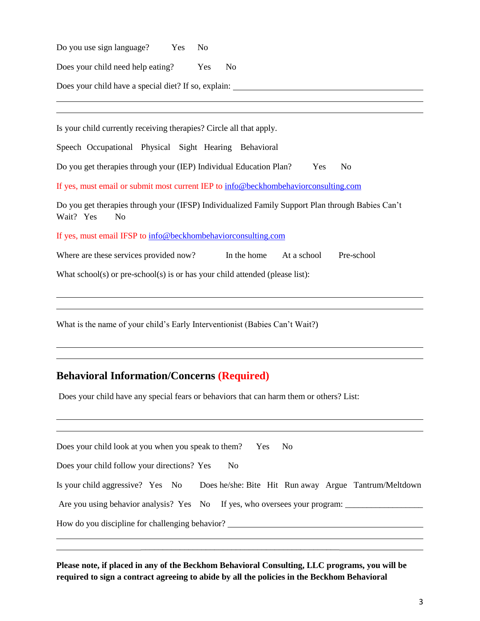Do you use sign language? Yes No Does your child need help eating? Yes No

Does your child have a special diet? If so, explain:

Is your child currently receiving therapies? Circle all that apply.

Speech Occupational Physical Sight Hearing Behavioral

Do you get therapies through your (IEP) Individual Education Plan? Yes No

If yes, must email or submit most current IEP to [info@beckhombehaviorconsulting.com](mailto:info@sceic.com)

Do you get therapies through your (IFSP) Individualized Family Support Plan through Babies Can't Wait? Yes No

If yes, must email IFSP to [info@beckhombehaviorconsulting.com](mailto:info@sceic.com)

Where are these services provided now? In the home At a school Pre-school

What school(s) or pre-school(s) is or has your child attended (please list):

What is the name of your child's Early Interventionist (Babies Can't Wait?)

### **Behavioral Information/Concerns (Required)**

Does your child have any special fears or behaviors that can harm them or others? List:

| Does your child look at you when you speak to them?           | Yes.<br>- No                                                                           |  |  |  |  |  |
|---------------------------------------------------------------|----------------------------------------------------------------------------------------|--|--|--|--|--|
| Does your child follow your directions? Yes<br>N <sub>o</sub> |                                                                                        |  |  |  |  |  |
|                                                               | Is your child aggressive? Yes No Does he/she: Bite Hit Run away Argue Tantrum/Meltdown |  |  |  |  |  |
|                                                               | Are you using behavior analysis? Yes No If yes, who oversees your program:             |  |  |  |  |  |
| How do you discipline for challenging behavior?               |                                                                                        |  |  |  |  |  |

**Please note, if placed in any of the Beckhom Behavioral Consulting, LLC programs, you will be required to sign a contract agreeing to abide by all the policies in the Beckhom Behavioral** 

\_\_\_\_\_\_\_\_\_\_\_\_\_\_\_\_\_\_\_\_\_\_\_\_\_\_\_\_\_\_\_\_\_\_\_\_\_\_\_\_\_\_\_\_\_\_